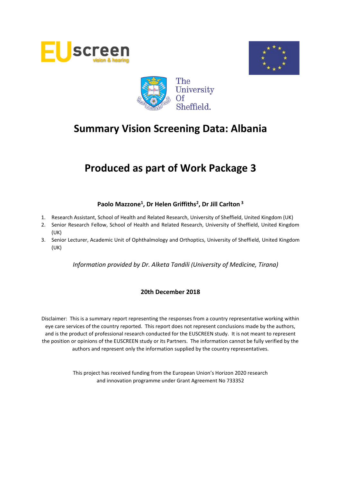





# **Produced as part of Work Package 3**

# **Paolo Mazzone<sup>1</sup> , Dr Helen Griffiths<sup>2</sup> , Dr Jill Carlton <sup>3</sup>**

- 1. Research Assistant, School of Health and Related Research, University of Sheffield, United Kingdom (UK)
- 2. Senior Research Fellow, School of Health and Related Research, University of Sheffield, United Kingdom (UK)
- 3. Senior Lecturer, Academic Unit of Ophthalmology and Orthoptics, University of Sheffield, United Kingdom (UK)

*Information provided by Dr. Alketa Tandili (University of Medicine, Tirana)*

# **20th December 2018**

Disclaimer: This is a summary report representing the responses from a country representative working within eye care services of the country reported. This report does not represent conclusions made by the authors, and is the product of professional research conducted for the EUSCREEN study. It is not meant to represent the position or opinions of the EUSCREEN study or its Partners. The information cannot be fully verified by the authors and represent only the information supplied by the country representatives.

> This project has received funding from the European Union's Horizon 2020 research and innovation programme under Grant Agreement No 733352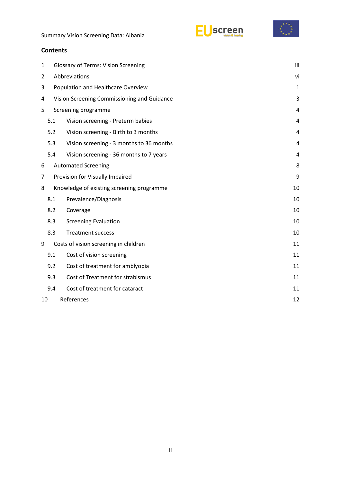





# **Contents**

| $\mathbf{1}$     |                                             | <b>Glossary of Terms: Vision Screening</b> |                |  |
|------------------|---------------------------------------------|--------------------------------------------|----------------|--|
| $\overline{2}$   | Abbreviations                               |                                            |                |  |
| 3                | Population and Healthcare Overview          | 1                                          |                |  |
| 4                | Vision Screening Commissioning and Guidance |                                            |                |  |
| 5                |                                             | Screening programme                        | 4              |  |
|                  | 5.1                                         | Vision screening - Preterm babies          |                |  |
|                  | 5.2                                         | Vision screening - Birth to 3 months       | $\overline{4}$ |  |
|                  | 5.3                                         | Vision screening - 3 months to 36 months   | 4              |  |
|                  | 5.4                                         | Vision screening - 36 months to 7 years    | 4              |  |
| 6                |                                             | <b>Automated Screening</b>                 | 8              |  |
| 7                |                                             | Provision for Visually Impaired            |                |  |
| 8                |                                             | Knowledge of existing screening programme  | 10             |  |
|                  | 8.1                                         | Prevalence/Diagnosis                       | 10             |  |
|                  | 8.2                                         | Coverage                                   | 10             |  |
|                  | 8.3                                         | <b>Screening Evaluation</b>                | 10             |  |
|                  | 8.3                                         | <b>Treatment success</b>                   | 10             |  |
| 9                |                                             | Costs of vision screening in children      | 11             |  |
|                  | 9.1                                         | Cost of vision screening                   | 11             |  |
|                  | 9.2                                         | Cost of treatment for amblyopia            | 11             |  |
|                  | 9.3                                         | Cost of Treatment for strabismus           | 11             |  |
|                  | 9.4                                         | Cost of treatment for cataract             | 11             |  |
| References<br>10 |                                             |                                            | 12             |  |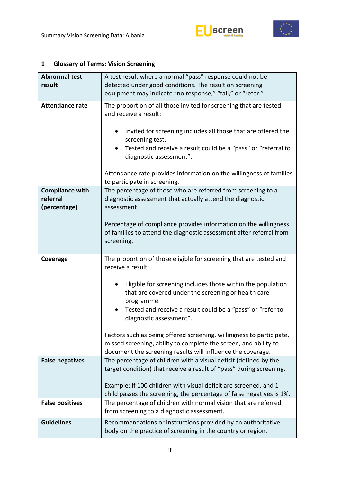



| <b>Abnormal test</b>                               | A test result where a normal "pass" response could not be                                                                                                                                                                                                                  |  |  |  |
|----------------------------------------------------|----------------------------------------------------------------------------------------------------------------------------------------------------------------------------------------------------------------------------------------------------------------------------|--|--|--|
| result                                             | detected under good conditions. The result on screening                                                                                                                                                                                                                    |  |  |  |
|                                                    | equipment may indicate "no response," "fail," or "refer."                                                                                                                                                                                                                  |  |  |  |
| <b>Attendance rate</b>                             | The proportion of all those invited for screening that are tested<br>and receive a result:<br>Invited for screening includes all those that are offered the<br>screening test.<br>Tested and receive a result could be a "pass" or "referral to<br>diagnostic assessment". |  |  |  |
|                                                    | Attendance rate provides information on the willingness of families<br>to participate in screening.                                                                                                                                                                        |  |  |  |
| <b>Compliance with</b><br>referral<br>(percentage) | The percentage of those who are referred from screening to a<br>diagnostic assessment that actually attend the diagnostic<br>assessment.<br>Percentage of compliance provides information on the willingness                                                               |  |  |  |
|                                                    | of families to attend the diagnostic assessment after referral from<br>screening.                                                                                                                                                                                          |  |  |  |
| Coverage                                           | The proportion of those eligible for screening that are tested and                                                                                                                                                                                                         |  |  |  |
|                                                    | receive a result:                                                                                                                                                                                                                                                          |  |  |  |
|                                                    | Eligible for screening includes those within the population<br>that are covered under the screening or health care<br>programme.<br>Tested and receive a result could be a "pass" or "refer to<br>diagnostic assessment".                                                  |  |  |  |
|                                                    | Factors such as being offered screening, willingness to participate,<br>missed screening, ability to complete the screen, and ability to<br>document the screening results will influence the coverage.                                                                    |  |  |  |
| <b>False negatives</b>                             | The percentage of children with a visual deficit (defined by the<br>target condition) that receive a result of "pass" during screening.<br>Example: If 100 children with visual deficit are screened, and 1                                                                |  |  |  |
| <b>False positives</b>                             | child passes the screening, the percentage of false negatives is 1%.<br>The percentage of children with normal vision that are referred<br>from screening to a diagnostic assessment.                                                                                      |  |  |  |

# <span id="page-2-0"></span>**1 Glossary of Terms: Vision Screening**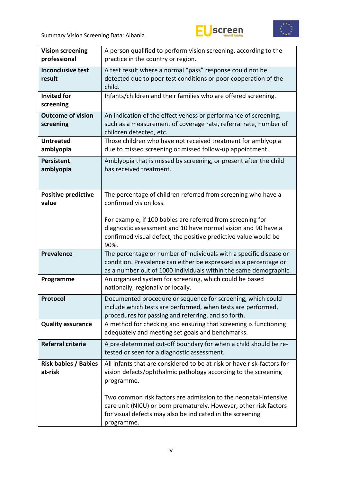



| <b>Vision screening</b><br>professional | A person qualified to perform vision screening, according to the<br>practice in the country or region.                                                                                                          |  |  |  |
|-----------------------------------------|-----------------------------------------------------------------------------------------------------------------------------------------------------------------------------------------------------------------|--|--|--|
| <b>Inconclusive test</b><br>result      | A test result where a normal "pass" response could not be<br>detected due to poor test conditions or poor cooperation of the<br>child.                                                                          |  |  |  |
| <b>Invited for</b><br>screening         | Infants/children and their families who are offered screening.                                                                                                                                                  |  |  |  |
| <b>Outcome of vision</b><br>screening   | An indication of the effectiveness or performance of screening,<br>such as a measurement of coverage rate, referral rate, number of<br>children detected, etc.                                                  |  |  |  |
| <b>Untreated</b><br>amblyopia           | Those children who have not received treatment for amblyopia<br>due to missed screening or missed follow-up appointment.                                                                                        |  |  |  |
| <b>Persistent</b><br>amblyopia          | Amblyopia that is missed by screening, or present after the child<br>has received treatment.                                                                                                                    |  |  |  |
| <b>Positive predictive</b><br>value     | The percentage of children referred from screening who have a<br>confirmed vision loss.                                                                                                                         |  |  |  |
|                                         | For example, if 100 babies are referred from screening for<br>diagnostic assessment and 10 have normal vision and 90 have a<br>confirmed visual defect, the positive predictive value would be<br>90%.          |  |  |  |
| <b>Prevalence</b>                       | The percentage or number of individuals with a specific disease or<br>condition. Prevalence can either be expressed as a percentage or<br>as a number out of 1000 individuals within the same demographic.      |  |  |  |
| Programme                               | An organised system for screening, which could be based<br>nationally, regionally or locally.                                                                                                                   |  |  |  |
| Protocol                                | Documented procedure or sequence for screening, which could<br>include which tests are performed, when tests are performed,<br>procedures for passing and referring, and so forth.                              |  |  |  |
| <b>Quality assurance</b>                | A method for checking and ensuring that screening is functioning<br>adequately and meeting set goals and benchmarks.                                                                                            |  |  |  |
| Referral criteria                       | A pre-determined cut-off boundary for when a child should be re-<br>tested or seen for a diagnostic assessment.                                                                                                 |  |  |  |
| <b>Risk babies / Babies</b><br>at-risk  | All infants that are considered to be at-risk or have risk-factors for<br>vision defects/ophthalmic pathology according to the screening<br>programme.                                                          |  |  |  |
|                                         | Two common risk factors are admission to the neonatal-intensive<br>care unit (NICU) or born prematurely. However, other risk factors<br>for visual defects may also be indicated in the screening<br>programme. |  |  |  |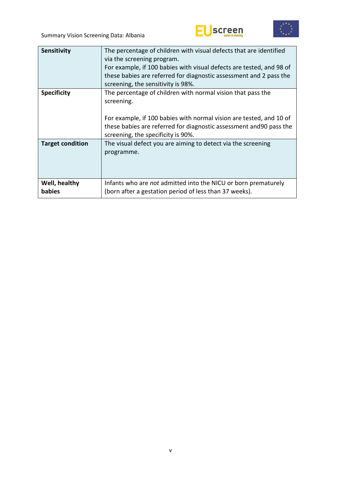



| <b>Sensitivity</b>             | The percentage of children with visual defects that are identified<br>via the screening program.<br>For example, if 100 babies with visual defects are tested, and 98 of<br>these babies are referred for diagnostic assessment and 2 pass the<br>screening, the sensitivity is 98%. |
|--------------------------------|--------------------------------------------------------------------------------------------------------------------------------------------------------------------------------------------------------------------------------------------------------------------------------------|
| <b>Specificity</b>             | The percentage of children with normal vision that pass the<br>screening.<br>For example, if 100 babies with normal vision are tested, and 10 of<br>these babies are referred for diagnostic assessment and 90 pass the<br>screening, the specificity is 90%.                        |
| <b>Target condition</b>        | The visual defect you are aiming to detect via the screening<br>programme.                                                                                                                                                                                                           |
| Well, healthy<br><b>babies</b> | Infants who are not admitted into the NICU or born prematurely<br>(born after a gestation period of less than 37 weeks).                                                                                                                                                             |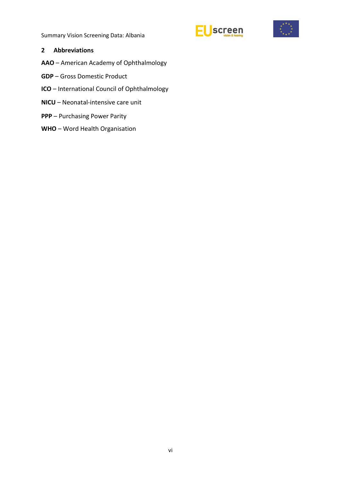



#### <span id="page-5-0"></span>**2 Abbreviations**

- **AAO** American Academy of Ophthalmology
- **GDP** Gross Domestic Product
- **ICO** International Council of Ophthalmology
- **NICU** Neonatal-intensive care unit
- **PPP** Purchasing Power Parity
- **WHO** Word Health Organisation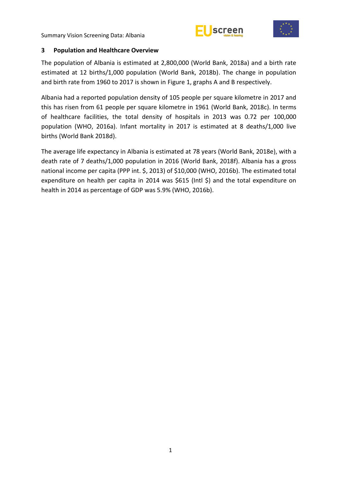



#### <span id="page-6-0"></span>**3 Population and Healthcare Overview**

The population of Albania is estimated at 2,800,000 (World Bank, 2018a) and a birth rate estimated at 12 births/1,000 population (World Bank, 2018b). The change in population and birth rate from 1960 to 2017 is shown in Figure 1, graphs A and B respectively.

Albania had a reported population density of 105 people per square kilometre in 2017 and this has risen from 61 people per square kilometre in 1961 (World Bank, 2018c). In terms of healthcare facilities, the total density of hospitals in 2013 was 0.72 per 100,000 population (WHO, 2016a). Infant mortality in 2017 is estimated at 8 deaths/1,000 live births (World Bank 2018d).

The average life expectancy in Albania is estimated at 78 years (World Bank, 2018e), with a death rate of 7 deaths/1,000 population in 2016 (World Bank, 2018f). Albania has a gross national income per capita (PPP int. \$, 2013) of \$10,000 (WHO, 2016b). The estimated total expenditure on health per capita in 2014 was \$615 (Intl \$) and the total expenditure on health in 2014 as percentage of GDP was 5.9% (WHO, 2016b).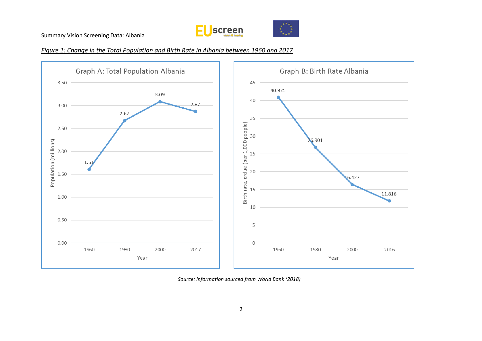





*Source: Information sourced from World Bank (2018)*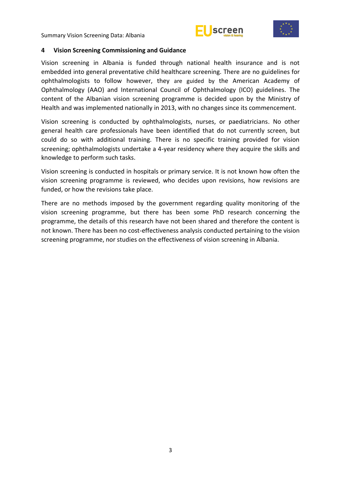



#### <span id="page-8-0"></span>**4 Vision Screening Commissioning and Guidance**

Vision screening in Albania is funded through national health insurance and is not embedded into general preventative child healthcare screening. There are no guidelines for ophthalmologists to follow however, they are guided by the American Academy of Ophthalmology (AAO) and International Council of Ophthalmology (ICO) guidelines. The content of the Albanian vision screening programme is decided upon by the Ministry of Health and was implemented nationally in 2013, with no changes since its commencement.

Vision screening is conducted by ophthalmologists, nurses, or paediatricians. No other general health care professionals have been identified that do not currently screen, but could do so with additional training. There is no specific training provided for vision screening; ophthalmologists undertake a 4-year residency where they acquire the skills and knowledge to perform such tasks.

Vision screening is conducted in hospitals or primary service. It is not known how often the vision screening programme is reviewed, who decides upon revisions, how revisions are funded, or how the revisions take place.

There are no methods imposed by the government regarding quality monitoring of the vision screening programme, but there has been some PhD research concerning the programme, the details of this research have not been shared and therefore the content is not known. There has been no cost-effectiveness analysis conducted pertaining to the vision screening programme, nor studies on the effectiveness of vision screening in Albania.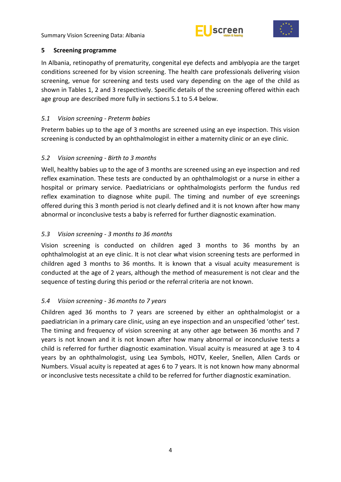



#### <span id="page-9-0"></span>**5 Screening programme**

In Albania, retinopathy of prematurity, congenital eye defects and amblyopia are the target conditions screened for by vision screening. The health care professionals delivering vision screening, venue for screening and tests used vary depending on the age of the child as shown in Tables 1, 2 and 3 respectively. Specific details of the screening offered within each age group are described more fully in sections 5.1 to 5.4 below.

# <span id="page-9-1"></span>*5.1 Vision screening - Preterm babies*

Preterm babies up to the age of 3 months are screened using an eye inspection. This vision screening is conducted by an ophthalmologist in either a maternity clinic or an eye clinic.

### <span id="page-9-2"></span>*5.2 Vision screening - Birth to 3 months*

Well, healthy babies up to the age of 3 months are screened using an eye inspection and red reflex examination. These tests are conducted by an ophthalmologist or a nurse in either a hospital or primary service. Paediatricians or ophthalmologists perform the fundus red reflex examination to diagnose white pupil. The timing and number of eye screenings offered during this 3 month period is not clearly defined and it is not known after how many abnormal or inconclusive tests a baby is referred for further diagnostic examination.

# <span id="page-9-3"></span>*5.3 Vision screening - 3 months to 36 months*

Vision screening is conducted on children aged 3 months to 36 months by an ophthalmologist at an eye clinic. It is not clear what vision screening tests are performed in children aged 3 months to 36 months. It is known that a visual acuity measurement is conducted at the age of 2 years, although the method of measurement is not clear and the sequence of testing during this period or the referral criteria are not known.

# <span id="page-9-4"></span>*5.4 Vision screening - 36 months to 7 years*

Children aged 36 months to 7 years are screened by either an ophthalmologist or a paediatrician in a primary care clinic, using an eye inspection and an unspecified 'other' test. The timing and frequency of vision screening at any other age between 36 months and 7 years is not known and it is not known after how many abnormal or inconclusive tests a child is referred for further diagnostic examination. Visual acuity is measured at age 3 to 4 years by an ophthalmologist, using Lea Symbols, HOTV, Keeler, Snellen, Allen Cards or Numbers. Visual acuity is repeated at ages 6 to 7 years. It is not known how many abnormal or inconclusive tests necessitate a child to be referred for further diagnostic examination.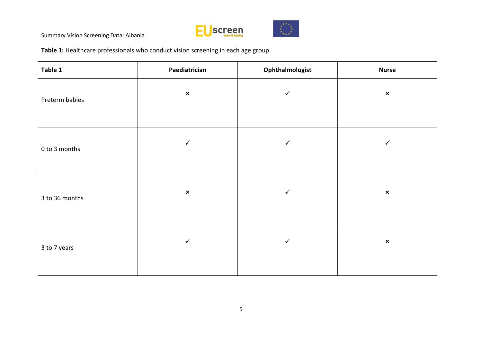

**Table 1:** Healthcare professionals who conduct vision screening in each age group

| Table 1        | Paediatrician<br>Ophthalmologist |              | <b>Nurse</b>   |  |
|----------------|----------------------------------|--------------|----------------|--|
| Preterm babies | $\pmb{\times}$                   | $\checkmark$ | $\pmb{\times}$ |  |
| 0 to 3 months  | $\checkmark$                     | $\checkmark$ | $\checkmark$   |  |
| 3 to 36 months | $\pmb{\times}$                   | $\checkmark$ | $\pmb{\times}$ |  |
| 3 to 7 years   | $\checkmark$                     | $\checkmark$ | $\pmb{\times}$ |  |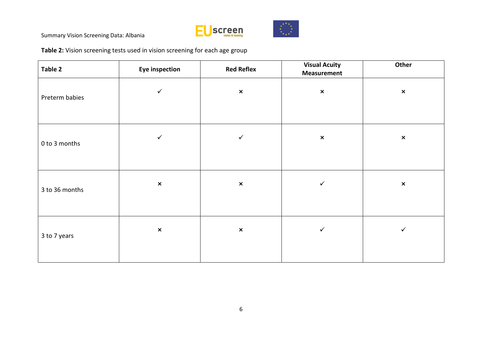

**Table 2:** Vision screening tests used in vision screening for each age group

| Table 2        | <b>Eye inspection</b> | <b>Red Reflex</b> | <b>Visual Acuity</b><br><b>Measurement</b> | Other          |
|----------------|-----------------------|-------------------|--------------------------------------------|----------------|
| Preterm babies | ✓                     | $\pmb{\times}$    | $\pmb{\times}$                             | $\pmb{\times}$ |
| 0 to 3 months  | $\checkmark$          | $\checkmark$      | $\pmb{\times}$                             | $\pmb{\times}$ |
| 3 to 36 months | $\pmb{\times}$        | $\pmb{\times}$    | $\checkmark$                               | $\pmb{\times}$ |
| 3 to 7 years   | $\pmb{\times}$        | $\pmb{\times}$    | $\checkmark$                               | ✓              |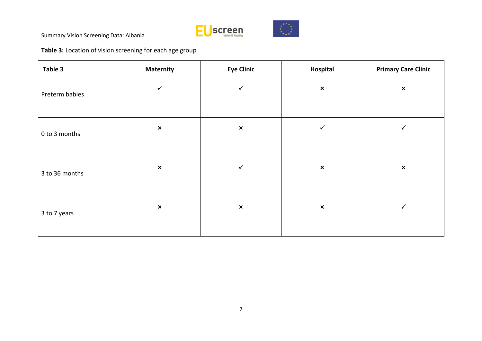

# **Table 3:** Location of vision screening for each age group

| Table 3        | <b>Maternity</b> | <b>Eye Clinic</b> | Hospital       | <b>Primary Care Clinic</b> |
|----------------|------------------|-------------------|----------------|----------------------------|
| Preterm babies | $\checkmark$     | $\checkmark$      | $\pmb{\times}$ | $\pmb{\times}$             |
| 0 to 3 months  | $\pmb{\times}$   | $\pmb{\times}$    | $\checkmark$   | ✓                          |
| 3 to 36 months | $\pmb{\times}$   | ✓                 | $\pmb{\times}$ | $\pmb{\times}$             |
| 3 to 7 years   | $\pmb{\times}$   | $\pmb{\times}$    | $\pmb{\times}$ | $\checkmark$               |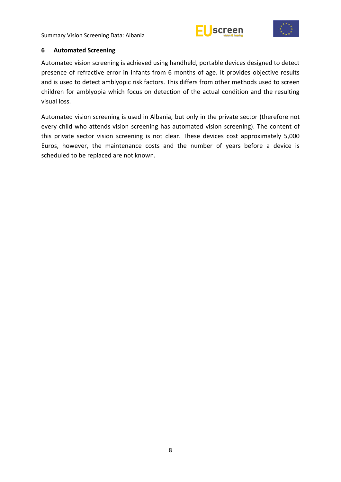



#### <span id="page-13-0"></span>**6 Automated Screening**

Automated vision screening is achieved using handheld, portable devices designed to detect presence of refractive error in infants from 6 months of age. It provides objective results and is used to detect amblyopic risk factors. This differs from other methods used to screen children for amblyopia which focus on detection of the actual condition and the resulting visual loss.

Automated vision screening is used in Albania, but only in the private sector (therefore not every child who attends vision screening has automated vision screening). The content of this private sector vision screening is not clear. These devices cost approximately 5,000 Euros, however, the maintenance costs and the number of years before a device is scheduled to be replaced are not known.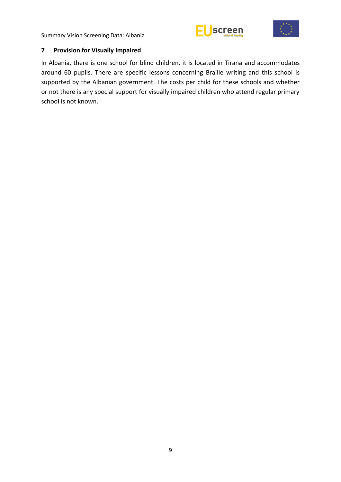



#### <span id="page-14-0"></span>**7 Provision for Visually Impaired**

In Albania, there is one school for blind children, it is located in Tirana and accommodates around 60 pupils. There are specific lessons concerning Braille writing and this school is supported by the Albanian government. The costs per child for these schools and whether or not there is any special support for visually impaired children who attend regular primary school is not known.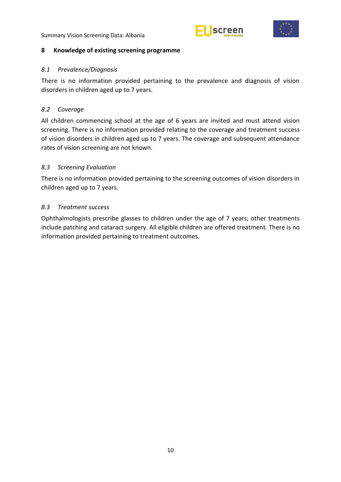



#### <span id="page-15-0"></span>**8 Knowledge of existing screening programme**

#### <span id="page-15-1"></span>*8.1 Prevalence/Diagnosis*

There is no information provided pertaining to the prevalence and diagnosis of vision disorders in children aged up to 7 years.

### <span id="page-15-2"></span>*8.2 Coverage*

All children commencing school at the age of 6 years are invited and must attend vision screening. There is no information provided relating to the coverage and treatment success of vision disorders in children aged up to 7 years. The coverage and subsequent attendance rates of vision screening are not known.

# <span id="page-15-3"></span>*8.3 Screening Evaluation*

There is no information provided pertaining to the screening outcomes of vision disorders in children aged up to 7 years.

#### <span id="page-15-4"></span>*8.3 Treatment success*

Ophthalmologists prescribe glasses to children under the age of 7 years; other treatments include patching and cataract surgery. All eligible children are offered treatment. There is no information provided pertaining to treatment outcomes.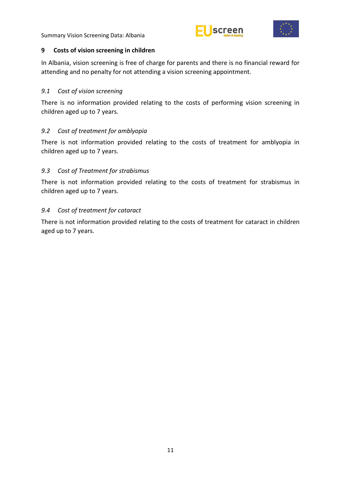



#### <span id="page-16-0"></span>**9 Costs of vision screening in children**

In Albania, vision screening is free of charge for parents and there is no financial reward for attending and no penalty for not attending a vision screening appointment.

### <span id="page-16-1"></span>*9.1 Cost of vision screening*

There is no information provided relating to the costs of performing vision screening in children aged up to 7 years.

# <span id="page-16-2"></span>*9.2 Cost of treatment for amblyopia*

There is not information provided relating to the costs of treatment for amblyopia in children aged up to 7 years.

# <span id="page-16-3"></span>*9.3 Cost of Treatment for strabismus*

There is not information provided relating to the costs of treatment for strabismus in children aged up to 7 years.

#### <span id="page-16-4"></span>*9.4 Cost of treatment for cataract*

There is not information provided relating to the costs of treatment for cataract in children aged up to 7 years.